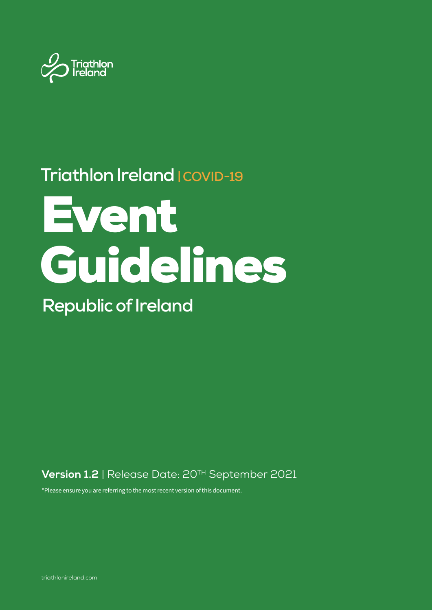

## **Triathlon Ireland | COVID-19**

# Event Guidelines

**Republic of Ireland**

**Version 1.2** | Release Date: 20TH September 2021

\*Please ensure you are referring to the most recent version of this document.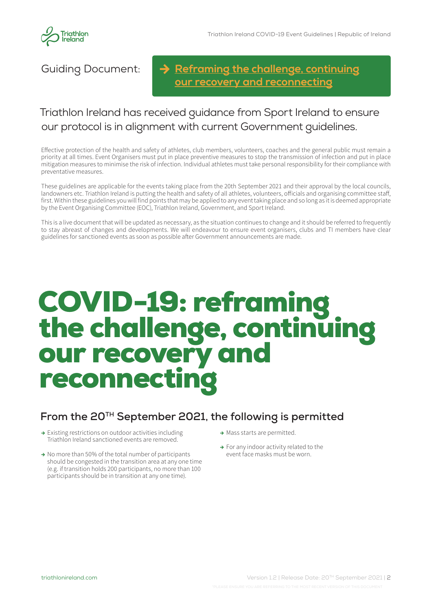

Guiding Document:

**[Reframing the challenge, continuing](https://www.gov.ie/en/publication/3361b-public-health-updates/) our recovery and reconnecting**

## Triathlon Ireland has received guidance from Sport Ireland to ensure our protocol is in alignment with current Government guidelines.

Effective protection of the health and safety of athletes, club members, volunteers, coaches and the general public must remain a priority at all times. Event Organisers must put in place preventive measures to stop the transmission of infection and put in place mitigation measures to minimise the risk of infection. Individual athletes must take personal responsibility for their compliance with preventative measures.

These guidelines are applicable for the events taking place from the 20th September 2021 and their approval by the local councils, landowners etc. Triathlon Ireland is putting the health and safety of all athletes, volunteers, officials and organising committee staff, first. Within these guidelines you will find points that may be applied to any event taking place and so long as it is deemed appropriate by the Event Organising Committee (EOC), Triathlon Ireland, Government, and Sport Ireland.

This is a live document that will be updated as necessary, as the situation continues to change and it should be referred to frequently to stay abreast of changes and developments. We will endeavour to ensure event organisers, clubs and TI members have clear guidelines for sanctioned events as soon as possible after Government announcements are made.

## COVID-19: reframing the challenge, continuing our recovery and reconnecting

## **From the 20TH September 2021, the following is permitted**

- **→** Existing restrictions on outdoor activities including Triathlon Ireland sanctioned events are removed.
- **→** No more than 50% of the total number of participants should be congested in the transition area at any one time (e.g. if transition holds 200 participants, no more than 100 participants should be in transition at any one time).
- **→** Mass starts are permitted.
- **→** For any indoor activity related to the event face masks must be worn.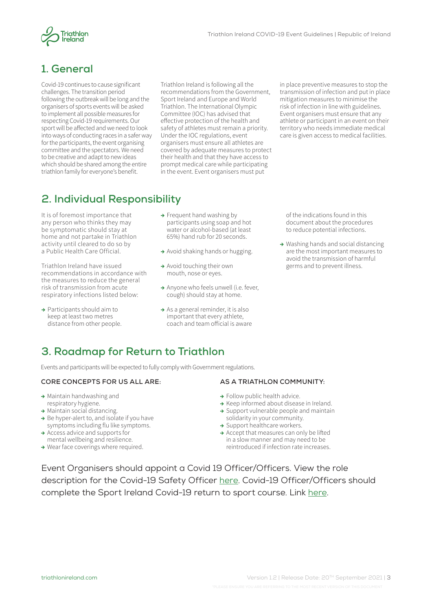



#### **1. General**

Covid-19 continues to cause significant challenges. The transition period following the outbreak will be long and the organisers of sports events will be asked to implement all possible measures for respecting Covid-19 requirements. Our sport will be affected and we need to look into ways of conducting races in a safer way for the participants, the event organising committee and the spectators. We need to be creative and adapt to new ideas which should be shared among the entire triathlon family for everyone's benefit.

Triathlon Ireland is following all the recommendations from the Government, Sport Ireland and Europe and World Triathlon. The International Olympic Committee (IOC) has advised that effective protection of the health and safety of athletes must remain a priority. Under the IOC regulations, event organisers must ensure all athletes are covered by adequate measures to protect their health and that they have access to prompt medical care while participating in the event. Event organisers must put

in place preventive measures to stop the transmission of infection and put in place mitigation measures to minimise the risk of infection in line with guidelines. Event organisers must ensure that any athlete or participant in an event on their territory who needs immediate medical care is given access to medical facilities.

## **2. Individual Responsibility**

It is of foremost importance that any person who thinks they may be symptomatic should stay at home and not partake in Triathlon activity until cleared to do so by a Public Health Care Official.

Triathlon Ireland have issued recommendations in accordance with the measures to reduce the general risk of transmission from acute respiratory infections listed below:

**→** Participants should aim to keep at least two metres distance from other people.

- **→** Frequent hand washing by participants using soap and hot water or alcohol-based (at least 65%) hand rub for 20 seconds.
- **→** Avoid shaking hands or hugging.
- **→** Avoid touching their own mouth, nose or eyes.
- **→** Anyone who feels unwell (i.e. fever, cough) should stay at home.
- **→** As a general reminder, it is also important that every athlete, coach and team official is aware

of the indications found in this document about the procedures to reduce potential infections.

**→** Washing hands and social distancing are the most important measures to avoid the transmission of harmful germs and to prevent illness.

## **3. Roadmap for Return to Triathlon**

Events and participants will be expected to fully comply with Government regulations.

#### **CORE CONCEPTS FOR US ALL ARE:**

- **→** Maintain handwashing and respiratory hygiene.
- **→** Maintain social distancing.
- **→** Be hyper-alert to, and isolate if you have symptoms including flu like symptoms.
- **→** Access advice and supports for mental wellbeing and resilience.
- **→** Wear face coverings where required.

#### **AS A TRIATHLON COMMUNITY:**

- **→** Follow public health advice.
- **→** Keep informed about disease in Ireland.
- **→** Support vulnerable people and maintain solidarity in your community.
- **→** Support healthcare workers.
- **→** Accept that measures can only be lifted in a slow manner and may need to be reintroduced if infection rate increases.

Event Organisers should appoint a Covid 19 Officer/Officers. View the role description for the Covid-19 Safety Officer [here](https://www.triathlonireland.com/wp-content/uploads/Image-Document-Library/News/2020/COVID-19-Club-Safety-Officer). Covid-19 Officer/Officers should complete the Sport Ireland Covid-19 return to sport course. Link [here](https://www.sportireland.ie/sport-ireland-covid-19-return-to-sport-course).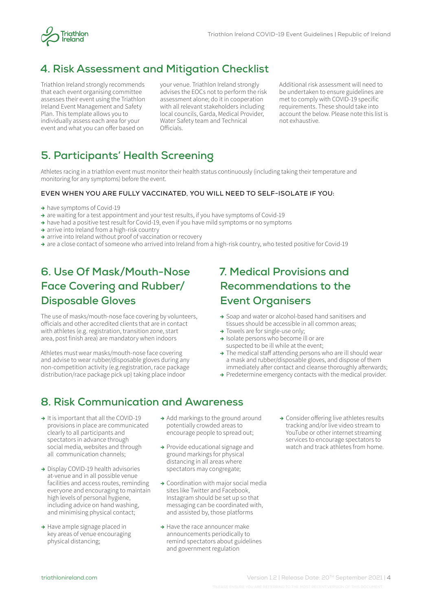

#### **4. Risk Assessment and Mitigation Checklist**

Triathlon Ireland strongly recommends that each event organising committee assesses their event using the Triathlon Ireland Event Management and Safety Plan. This template allows you to individually assess each area for your event and what you can offer based on

your venue. Triathlon Ireland strongly advises the EOCs not to perform the risk assessment alone; do it in cooperation with all relevant stakeholders including local councils, Garda, Medical Provider, Water Safety team and Technical Officials.

Additional risk assessment will need to be undertaken to ensure guidelines are met to comply with COVID-19 specific requirements. These should take into account the below. Please note this list is not exhaustive.

#### **5. Participants' Health Screening**

Athletes racing in a triathlon event must monitor their health status continuously (including taking their temperature and monitoring for any symptoms) before the event.

#### **EVEN WHEN YOU ARE FULLY VACCINATED, YOU WILL NEED TO SELF-ISOLATE IF YOU:**

- **→** have symptoms of Covid-19
- **→** are waiting for a test appointment and your test results, if you have symptoms of Covid-19
- **→** have had a positive test result for Covid-19, even if you have mild symptoms or no symptoms
- **→** arrive into Ireland from a high-risk country
- **→** arrive into Ireland without proof of vaccination or recovery
- **→** are a close contact of someone who arrived into Ireland from a high-risk country, who tested positive for Covid-19

## **6. Use Of Mask/Mouth-Nose Face Covering and Rubber/ Disposable Gloves**

The use of masks/mouth-nose face covering by volunteers, officials and other accredited clients that are in contact with athletes (e.g. registration, transition zone, start area, post finish area) are mandatory when indoors

Athletes must wear masks/mouth-nose face covering and advise to wear rubber/disposable gloves during any non-competition activity (e.g.registration, race package distribution/race package pick up) taking place indoor

## **7. Medical Provisions and Recommendations to the Event Organisers**

- **→** Soap and water or alcohol-based hand sanitisers and tissues should be accessible in all common areas;
- **→** Towels are for single-use only;
- **→** Isolate persons who become ill or are suspected to be ill while at the event;
- **→** The medical staff attending persons who are ill should wear a mask and rubber/disposable gloves, and dispose of them immediately after contact and cleanse thoroughly afterwards;
- **→** Predetermine emergency contacts with the medical provider.

#### **8. Risk Communication and Awareness**

- **→** It is important that all the COVID-19 provisions in place are communicated clearly to all participants and spectators in advance through social media, websites and through all communication channels;
- **→** Display COVID-19 health advisories at-venue and in all possible venue facilities and access routes, reminding everyone and encouraging to maintain high levels of personal hygiene, including advice on hand washing, and minimising physical contact;
- **→** Have ample signage placed in key areas of venue encouraging physical distancing;
- **→** Add markings to the ground around potentially crowded areas to encourage people to spread out;
- **→** Provide educational signage and ground markings for physical distancing in all areas where spectators may congregate;
- **→** Coordination with major social media sites like Twitter and Facebook, Instagram should be set up so that messaging can be coordinated with, and assisted by, those platforms
- **→** Have the race announcer make announcements periodically to remind spectators about guidelines and government regulation

**→** Consider offering live athletes results tracking and/or live video stream to YouTube or other internet streaming services to encourage spectators to watch and track athletes from home.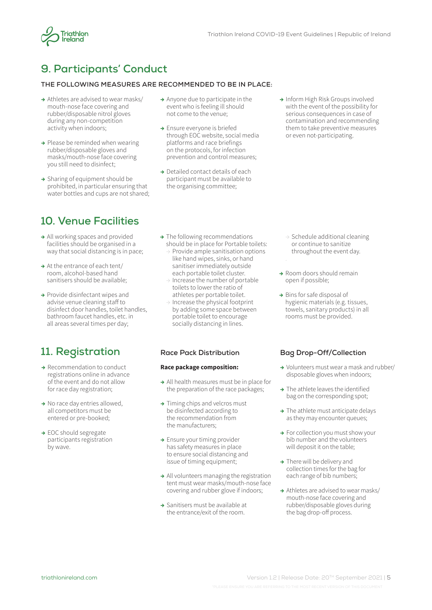

## **9. Participants' Conduct**

#### **THE FOLLOWING MEASURES ARE RECOMMENDED TO BE IN PLACE:**

- **→** Athletes are advised to wear masks/ mouth-nose face covering and rubber/disposable nitrol gloves during any non-competition activity when indoors;
- **→** Please be reminded when wearing rubber/disposable gloves and masks/mouth-nose face covering you still need to disinfect;
- **→** Sharing of equipment should be prohibited, in particular ensuring that water bottles and cups are not shared;

#### **10. Venue Facilities**

- **→** All working spaces and provided facilities should be organised in a way that social distancing is in pace;
- **→** At the entrance of each tent/ room, alcohol-based hand sanitisers should be available;
- **→** Provide disinfectant wipes and advise venue cleaning staff to disinfect door handles, toilet handles, bathroom faucet handles, etc. in all areas several times per day;

## **11. Registration**

- **→** Recommendation to conduct registrations online in advance of the event and do not allow for race day registration;
- **→** No race day entries allowed, all competitors must be entered or pre-booked;
- **→** EOC should segregate participants registration by wave.
- **→** Anyone due to participate in the event who is feeling ill should not come to the venue;
- **→** Ensure everyone is briefed through EOC website, social media platforms and race briefings on the protocols, for infection prevention and control measures;
- **→** Detailed contact details of each participant must be available to the organising committee;
- **→** Inform High Risk Groups involved with the event of the possibility for serious consequences in case of contamination and recommending them to take preventive measures or even not-participating.

- **→** The following recommendations should be in place for Portable toilets:  $\rightarrow$  Provide ample sanitisation options
	- like hand wipes, sinks, or hand sanitiser immediately outside each portable toilet cluster.
	- $\rightarrow$  Increase the number of portable toilets to lower the ratio of athletes per portable toilet.
	- $\rightarrow$  Increase the physical footprint by adding some space between portable toilet to encourage socially distancing in lines.

#### **Race package composition:**

- **→** All health measures must be in place for the preparation of the race packages;
- **→** Timing chips and velcros must be disinfected according to the recommendation from the manufacturers;
- **→** Ensure your timing provider has safety measures in place to ensure social distancing and issue of timing equipment;
- **→** All volunteers managing the registration tent must wear masks/mouth-nose face covering and rubber glove if indoors;
- **→** Sanitisers must be available at the entrance/exit of the room.
- $\rightarrow$  Schedule additional cleaning or continue to sanitize throughout the event day.
- **→** Room doors should remain open if possible;
- **→** Bins for safe disposal of hygienic materials (e.g. tissues, towels, sanitary products) in all rooms must be provided.

#### **Race Pack Distribution Bag Drop-Off/Collection**

- **→** Volunteers must wear a mask and rubber/ disposable gloves when indoors;
- **→** The athlete leaves the identified bag on the corresponding spot;
- **→** The athlete must anticipate delays as they may encounter queues;
- **→** For collection you must show your bib number and the volunteers will deposit it on the table;
- **→** There will be delivery and collection times for the bag for each range of bib numbers;
- **→** Athletes are advised to wear masks/ mouth-nose face covering and rubber/disposable gloves during the bag drop-off process.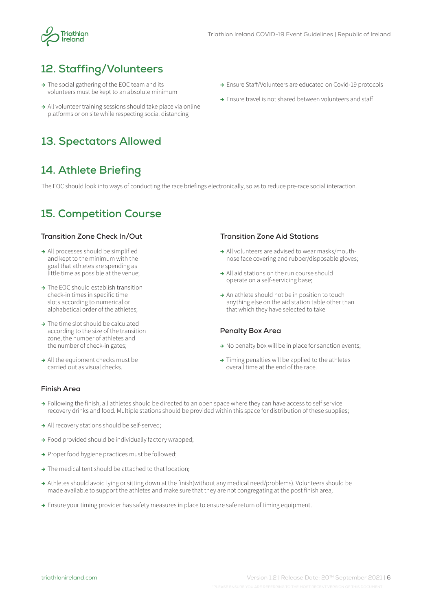

## **12. Staffing/Volunteers**

- **→** The social gathering of the EOC team and its volunteers must be kept to an absolute minimum
- **→** All volunteer training sessions should take place via online platforms or on site while respecting social distancing

## **13. Spectators Allowed**

## **14. Athlete Briefing**

The EOC should look into ways of conducting the race briefings electronically, so as to reduce pre-race social interaction.

#### **15. Competition Course**

- **→** All processes should be simplified and kept to the minimum with the goal that athletes are spending as little time as possible at the venue;
- **→** The EOC should establish transition check-in times in specific time slots according to numerical or alphabetical order of the athletes;
- **→** The time slot should be calculated according to the size of the transition zone, the number of athletes and the number of check-in gates;
- **→** All the equipment checks must be carried out as visual checks.
- **→** Ensure Staff/Volunteers are educated on Covid-19 protocols
- **→** Ensure travel is not shared between volunteers and staff

#### **Transition Zone Check In/Out Transition Zone Aid Stations**

- **→** All volunteers are advised to wear masks/mouthnose face covering and rubber/disposable gloves;
- **→** All aid stations on the run course should operate on a self-servicing base;
- **→** An athlete should not be in position to touch anything else on the aid station table other than that which they have selected to take

#### **Penalty Box Area**

- **→** No penalty box will be in place for sanction events;
- **→** Timing penalties will be applied to the athletes overall time at the end of the race.

#### **Finish Area**

- **→** Following the finish, all athletes should be directed to an open space where they can have access to self service recovery drinks and food. Multiple stations should be provided within this space for distribution of these supplies;
- **→** All recovery stations should be self-served;
- **→** Food provided should be individually factory wrapped;
- **→** Proper food hygiene practices must be followed;
- **→** The medical tent should be attached to that location;
- **→** Athletes should avoid lying or sitting down at the finish(without any medical need/problems). Volunteers should be made available to support the athletes and make sure that they are not congregating at the post finish area;
- **→** Ensure your timing provider has safety measures in place to ensure safe return of timing equipment.